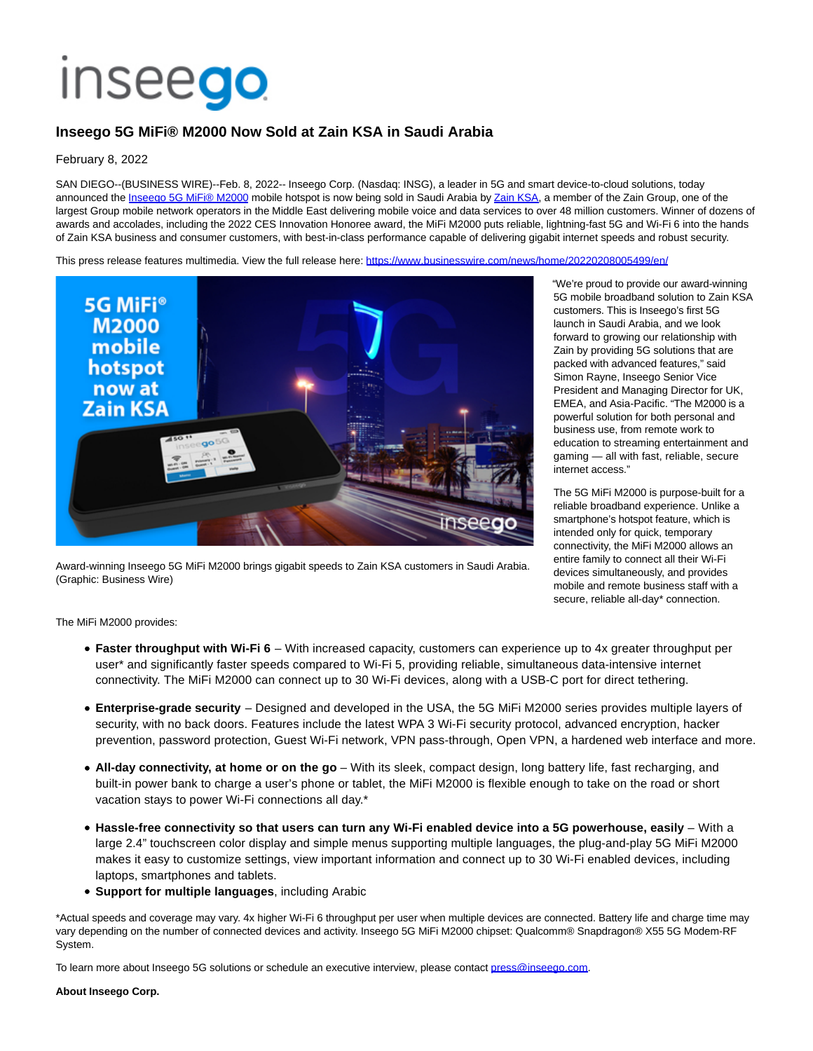## **Inseego**

## **Inseego 5G MiFi® M2000 Now Sold at Zain KSA in Saudi Arabia**

## February 8, 2022

SAN DIEGO--(BUSINESS WIRE)--Feb. 8, 2022-- Inseego Corp. (Nasdaq: INSG), a leader in 5G and smart device-to-cloud solutions, today announced the [Inseego 5G MiFi® M2000 m](https://cts.businesswire.com/ct/CT?id=smartlink&url=https%3A%2F%2Finseego.com%2Fproducts%2Fmobile%2Fmifi-m2000%2F&esheet=52575510&newsitemid=20220208005499&lan=en-US&anchor=Inseego+5G+MiFi%26%23174%3B+M2000&index=1&md5=bb2207cb262aeaf5ea5f29811771c5e8)obile hotspot is now being sold in Saudi Arabia b[y Zain KSA,](https://cts.businesswire.com/ct/CT?id=smartlink&url=http%3A%2F%2Fwww.sa.zain.com&esheet=52575510&newsitemid=20220208005499&lan=en-US&anchor=Zain+KSA&index=2&md5=92681d91e8d98c2752b04b83f2f8ab27) a member of the Zain Group, one of the largest Group mobile network operators in the Middle East delivering mobile voice and data services to over 48 million customers. Winner of dozens of awards and accolades, including the 2022 CES Innovation Honoree award, the MiFi M2000 puts reliable, lightning-fast 5G and Wi-Fi 6 into the hands of Zain KSA business and consumer customers, with best-in-class performance capable of delivering gigabit internet speeds and robust security.

This press release features multimedia. View the full release here:<https://www.businesswire.com/news/home/20220208005499/en/>



Award-winning Inseego 5G MiFi M2000 brings gigabit speeds to Zain KSA customers in Saudi Arabia. (Graphic: Business Wire)

"We're proud to provide our award-winning 5G mobile broadband solution to Zain KSA customers. This is Inseego's first 5G launch in Saudi Arabia, and we look forward to growing our relationship with Zain by providing 5G solutions that are packed with advanced features," said Simon Rayne, Inseego Senior Vice President and Managing Director for UK, EMEA, and Asia-Pacific. "The M2000 is a powerful solution for both personal and business use, from remote work to education to streaming entertainment and gaming — all with fast, reliable, secure internet access."

The 5G MiFi M2000 is purpose-built for a reliable broadband experience. Unlike a smartphone's hotspot feature, which is intended only for quick, temporary connectivity, the MiFi M2000 allows an entire family to connect all their Wi-Fi devices simultaneously, and provides mobile and remote business staff with a secure, reliable all-day\* connection.

The MiFi M2000 provides:

- **Faster throughput with Wi-Fi 6**  With increased capacity, customers can experience up to 4x greater throughput per user\* and significantly faster speeds compared to Wi-Fi 5, providing reliable, simultaneous data-intensive internet connectivity. The MiFi M2000 can connect up to 30 Wi-Fi devices, along with a USB-C port for direct tethering.
- **Enterprise-grade security**  Designed and developed in the USA, the 5G MiFi M2000 series provides multiple layers of security, with no back doors. Features include the latest WPA 3 Wi-Fi security protocol, advanced encryption, hacker prevention, password protection, Guest Wi-Fi network, VPN pass-through, Open VPN, a hardened web interface and more.
- **All-day connectivity, at home or on the go** With its sleek, compact design, long battery life, fast recharging, and built-in power bank to charge a user's phone or tablet, the MiFi M2000 is flexible enough to take on the road or short vacation stays to power Wi-Fi connections all day.\*
- **Hassle-free connectivity so that users can turn any Wi-Fi enabled device into a 5G powerhouse, easily** With a large 2.4" touchscreen color display and simple menus supporting multiple languages, the plug-and-play 5G MiFi M2000 makes it easy to customize settings, view important information and connect up to 30 Wi-Fi enabled devices, including laptops, smartphones and tablets.
- **Support for multiple languages**, including Arabic

\*Actual speeds and coverage may vary. 4x higher Wi-Fi 6 throughput per user when multiple devices are connected. Battery life and charge time may vary depending on the number of connected devices and activity. Inseego 5G MiFi M2000 chipset: Qualcomm® Snapdragon® X55 5G Modem-RF System.

To learn more about Inseego 5G solutions or schedule an executive interview, please contact [press@inseego.com.](mailto:press@inseego.com)

**About Inseego Corp.**